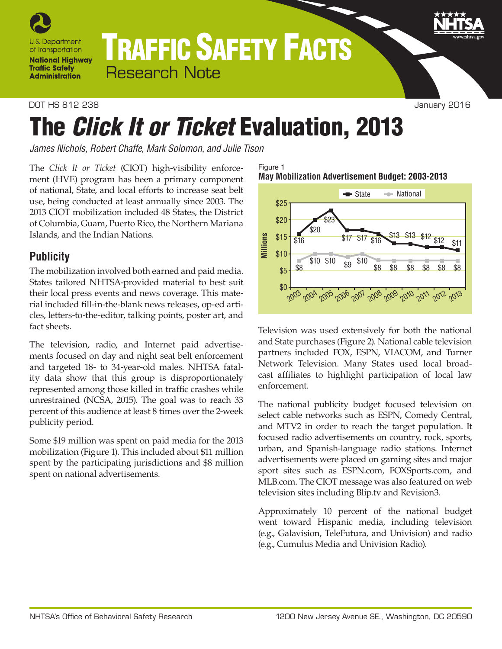

# TRAFFIC SAFETY FACTS Research Note

DOT HS 812 238 January 2016

# The *Click It or Ticket* Evaluation, 2013

*James Nichols, Robert Chaffe, Mark Solomon, and Julie Tison*

The *Click It or Ticket* (CIOT) high-visibility enforcement (HVE) program has been a primary component of national, State, and local efforts to increase seat belt use, being conducted at least annually since 2003. The 2013 CIOT mobilization included 48 States, the District of Columbia, Guam, Puerto Rico, the Northern Mariana Islands, and the Indian Nations.

## **Publicity**

The mobilization involved both earned and paid media. States tailored NHTSA-provided material to best suit their local press events and news coverage. This material included fill-in-the-blank news releases, op-ed articles, letters-to-the-editor, talking points, poster art, and fact sheets.

The television, radio, and Internet paid advertisements focused on day and night seat belt enforcement and targeted 18- to 34-year-old males. NHTSA fatality data show that this group is disproportionately represented among those killed in traffic crashes while unrestrained (NCSA, 2015). The goal was to reach 33 percent of this audience at least 8 times over the 2-week publicity period.

Some \$19 million was spent on paid media for the 2013 mobilization (Figure 1). This included about \$11 million spent by the participating jurisdictions and \$8 million spent on national advertisements.

Figure 1 **May Mobilization Advertisement Budget: 2003-2013**



Television was used extensively for both the national and State purchases (Figure 2). National cable television partners included FOX, ESPN, VIACOM, and Turner Network Television. Many States used local broadcast affiliates to highlight participation of local law enforcement.

The national publicity budget focused television on select cable networks such as ESPN, Comedy Central, and MTV2 in order to reach the target population. It focused radio advertisements on country, rock, sports, urban, and Spanish-language radio stations. Internet advertisements were placed on gaming sites and major sport sites such as ESPN.com, FOXSports.com, and MLB.com. The CIOT message was also featured on web television sites including Blip.tv and Revision3.

Approximately 10 percent of the national budget went toward Hispanic media, including television (e.g., Galavision, TeleFutura, and Univision) and radio (e.g., Cumulus Media and Univision Radio).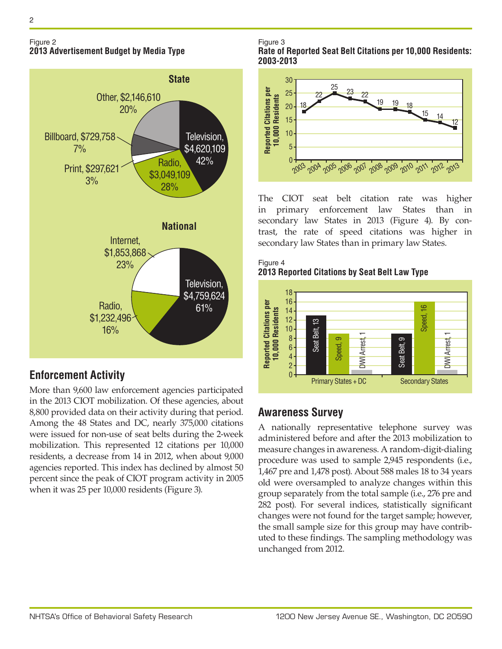#### Figure 2 **2013 Advertisement Budget by Media Type**



# **Enforcement Activity**

More than 9,600 law enforcement agencies participated in the 2013 CIOT mobilization. Of these agencies, about 8,800 provided data on their activity during that period. Among the 48 States and DC, nearly 375,000 citations were issued for non-use of seat belts during the 2-week mobilization. This represented 12 citations per 10,000 residents, a decrease from 14 in 2012, when about 9,000 agencies reported. This index has declined by almost 50 percent since the peak of CIOT program activity in 2005 when it was 25 per 10,000 residents (Figure 3).

Figure 3

**Rate of Reported Seat Belt Citations per 10,000 Residents: 2003-2013**



The CIOT seat belt citation rate was higher in primary enforcement law States than in secondary law States in 2013 (Figure 4). By contrast, the rate of speed citations was higher in secondary law States than in primary law States.





# **Awareness Survey**

A nationally representative telephone survey was administered before and after the 2013 mobilization to measure changes in awareness. A random-digit-dialing procedure was used to sample 2,945 respondents (i.e., 1,467 pre and 1,478 post). About 588 males 18 to 34 years old were oversampled to analyze changes within this group separately from the total sample (i.e., 276 pre and 282 post). For several indices, statistically significant changes were not found for the target sample; however, the small sample size for this group may have contributed to these findings. The sampling methodology was unchanged from 2012.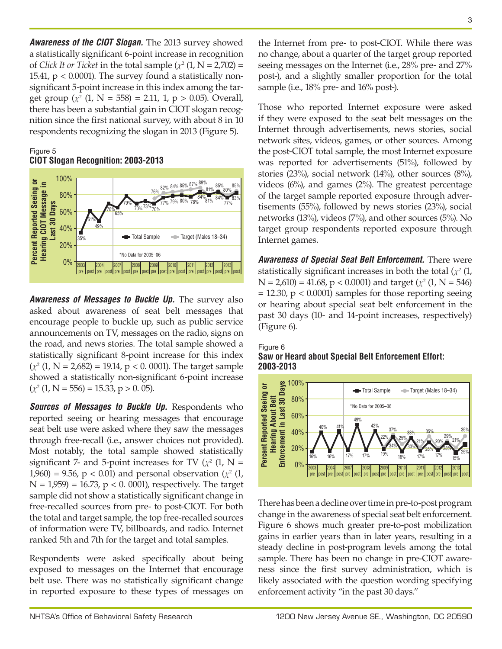*Awareness of the CIOT Slogan.* The 2013 survey showed a statistically significant 6-point increase in recognition of *Click It or Ticket* in the total sample  $(\chi^2(1, N = 2,702))$  = 15.41,  $p < 0.0001$ ). The survey found a statistically nonsignificant 5-point increase in this index among the target group  $(\chi^2 (1, N = 558) = 2.11, 1, p > 0.05)$ . Overall, there has been a substantial gain in CIOT slogan recognition since the first national survey, with about 8 in 10 respondents recognizing the slogan in 2013 (Figure 5).

#### Figure 5 **CIOT Slogan Recognition: 2003-2013**



*Awareness of Messages to Buckle Up.* The survey also asked about awareness of seat belt messages that encourage people to buckle up, such as public service announcements on TV, messages on the radio, signs on the road, and news stories. The total sample showed a statistically significant 8-point increase for this index  $(\chi^2 (1, N = 2,682) = 19.14, p < 0.0001)$ . The target sample showed a statistically non-significant 6-point increase  $(\chi^2 (1, N = 556) = 15.33, p > 0.05).$ 

*Sources of Messages to Buckle Up. Respondents who* reported seeing or hearing messages that encourage seat belt use were asked where they saw the messages through free-recall (i.e., answer choices not provided). Most notably, the total sample showed statistically significant 7- and 5-point increases for TV  $(\chi^2 \, (1, N =$ 1,960) = 9.56,  $p < 0.01$  and personal observation ( $\chi^2$  (1,  $N = 1,959$  = 16.73,  $p < 0.0001$ ), respectively. The target sample did not show a statistically significant change in free-recalled sources from pre- to post-CIOT. For both the total and target sample, the top free-recalled sources of information were TV, billboards, and radio. Internet ranked 5th and 7th for the target and total samples.

Respondents were asked specifically about being exposed to messages on the Internet that encourage belt use. There was no statistically significant change in reported exposure to these types of messages on the Internet from pre- to post-CIOT. While there was no change, about a quarter of the target group reported seeing messages on the Internet (i.e., 28% pre- and 27% post-), and a slightly smaller proportion for the total sample (i.e., 18% pre- and 16% post-).

Those who reported Internet exposure were asked if they were exposed to the seat belt messages on the Internet through advertisements, news stories, social network sites, videos, games, or other sources. Among the post-CIOT total sample, the most Internet exposure was reported for advertisements (51%), followed by stories (23%), social network (14%), other sources (8%), videos (6%), and games (2%). The greatest percentage of the target sample reported exposure through advertisements (55%), followed by news stories (23%), social networks (13%), videos (7%), and other sources (5%). No target group respondents reported exposure through Internet games.

*Awareness of Special Seat Belt Enforcement.* There were statistically significant increases in both the total  $(x^2 \, 1)$ ,  $N = 2,610$  = 41.68, p < 0.0001) and target ( $\chi^2$  (1, N = 546)  $= 12.30$ ,  $p < 0.0001$ ) samples for those reporting seeing or hearing about special seat belt enforcement in the past 30 days (10- and 14-point increases, respectively) (Figure 6).



#### **Saw or Heard about Special Belt Enforcement Effort: 2003-2013**



There has been a decline over time in pre-to-post program change in the awareness of special seat belt enforcement. Figure 6 shows much greater pre-to-post mobilization gains in earlier years than in later years, resulting in a steady decline in post-program levels among the total sample. There has been no change in pre-CIOT awareness since the first survey administration, which is likely associated with the question wording specifying enforcement activity "in the past 30 days."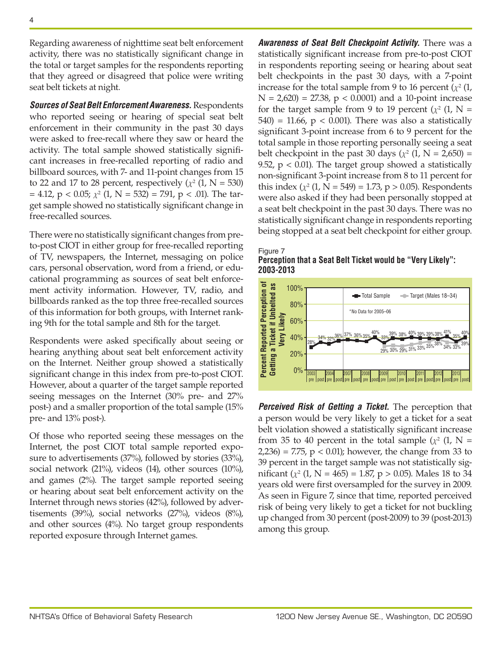Regarding awareness of nighttime seat belt enforcement activity, there was no statistically significant change in the total or target samples for the respondents reporting that they agreed or disagreed that police were writing seat belt tickets at night.

*Sources of Seat Belt Enforcement Awareness.* Respondents who reported seeing or hearing of special seat belt enforcement in their community in the past 30 days were asked to free-recall where they saw or heard the activity. The total sample showed statistically significant increases in free-recalled reporting of radio and billboard sources, with 7- and 11-point changes from 15 to 22 and 17 to 28 percent, respectively  $(x^2 (1, N = 530))$  $= 4.12$ , p < 0.05;  $χ²$  (1, N = 532) = 7.91, p < .01). The target sample showed no statistically significant change in free-recalled sources.

There were no statistically significant changes from preto-post CIOT in either group for free-recalled reporting of TV, newspapers, the Internet, messaging on police cars, personal observation, word from a friend, or educational programming as sources of seat belt enforcement activity information. However, TV, radio, and billboards ranked as the top three free-recalled sources of this information for both groups, with Internet ranking 9th for the total sample and 8th for the target.

Respondents were asked specifically about seeing or hearing anything about seat belt enforcement activity on the Internet. Neither group showed a statistically significant change in this index from pre-to-post CIOT. However, about a quarter of the target sample reported seeing messages on the Internet (30% pre- and 27% post-) and a smaller proportion of the total sample (15% pre- and 13% post-).

Of those who reported seeing these messages on the Internet, the post CIOT total sample reported exposure to advertisements (37%), followed by stories (33%), social network (21%), videos (14), other sources (10%), and games (2%). The target sample reported seeing or hearing about seat belt enforcement activity on the Internet through news stories (42%), followed by advertisements (39%), social networks (27%), videos (8%), and other sources (4%). No target group respondents reported exposure through Internet games.

*Awareness of Seat Belt Checkpoint Activity.* There was a statistically significant increase from pre-to-post CIOT in respondents reporting seeing or hearing about seat belt checkpoints in the past 30 days, with a 7-point increase for the total sample from 9 to 16 percent  $(\chi^2(1,$  $N = 2,620$  = 27.38,  $p < 0.0001$ ) and a 10-point increase for the target sample from 9 to 19 percent  $(\chi^2)$  (1, N =  $540$ ) = 11.66, p < 0.001). There was also a statistically significant 3-point increase from 6 to 9 percent for the total sample in those reporting personally seeing a seat belt checkpoint in the past 30 days  $(\chi^2 \, (1, N = 2,650) =$ 9.52,  $p < 0.01$ ). The target group showed a statistically non-significant 3-point increase from 8 to 11 percent for this index  $(\chi^2 (1, N = 549) = 1.73, p > 0.05)$ . Respondents were also asked if they had been personally stopped at a seat belt checkpoint in the past 30 days. There was no statistically significant change in respondents reporting being stopped at a seat belt checkpoint for either group.





*Perceived Risk of Getting a Ticket.* The perception that a person would be very likely to get a ticket for a seat belt violation showed a statistically significant increase from 35 to 40 percent in the total sample  $(\chi^2)$  (1, N = 2,236) = 7.75,  $p < 0.01$ ; however, the change from 33 to 39 percent in the target sample was not statistically significant  $(\chi^2 (1, N = 465) = 1.87, p > 0.05)$ . Males 18 to 34 years old were first oversampled for the survey in 2009. As seen in Figure 7, since that time, reported perceived risk of being very likely to get a ticket for not buckling up changed from 30 percent (post-2009) to 39 (post-2013) among this group.